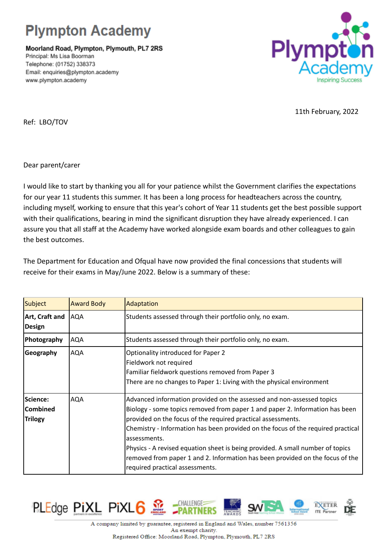## **Plympton Academy**

Moorland Road, Plympton, Plymouth, PL7 2RS Principal: Ms Lisa Boorman Telephone: (01752) 338373 Email: enquiries@plympton.academy www.plympton.academy



11th February, 2022

Ref: LBO/TOV

Dear parent/carer

I would like to start by thanking you all for your patience whilst the Government clarifies the expectations for our year 11 students this summer. It has been a long process for headteachers across the country, including myself, working to ensure that this year's cohort of Year 11 students get the best possible support with their qualifications, bearing in mind the significant disruption they have already experienced. I can assure you that all staff at the Academy have worked alongside exam boards and other colleagues to gain the best outcomes.

The Department for Education and Ofqual have now provided the final concessions that students will receive for their exams in May/June 2022. Below is a summary of these:

| Subject                                              | <b>Award Body</b> | Adaptation                                                                                                                                                                                                                                                                                                                                                                                                                                                                                                                      |
|------------------------------------------------------|-------------------|---------------------------------------------------------------------------------------------------------------------------------------------------------------------------------------------------------------------------------------------------------------------------------------------------------------------------------------------------------------------------------------------------------------------------------------------------------------------------------------------------------------------------------|
| Art, Craft and<br>Design                             | <b>AQA</b>        | Students assessed through their portfolio only, no exam.                                                                                                                                                                                                                                                                                                                                                                                                                                                                        |
| Photography                                          | <b>AQA</b>        | Students assessed through their portfolio only, no exam.                                                                                                                                                                                                                                                                                                                                                                                                                                                                        |
| Geography                                            | <b>AQA</b>        | Optionality introduced for Paper 2<br>Fieldwork not required<br>Familiar fieldwork questions removed from Paper 3<br>There are no changes to Paper 1: Living with the physical environment                                                                                                                                                                                                                                                                                                                                      |
| <b>Science:</b><br><b>Combined</b><br><b>Trilogy</b> | AQA               | Advanced information provided on the assessed and non-assessed topics<br>Biology - some topics removed from paper 1 and paper 2. Information has been<br>provided on the focus of the required practical assessments.<br>Chemistry - Information has been provided on the focus of the required practical<br>assessments.<br>Physics - A revised equation sheet is being provided. A small number of topics<br>removed from paper 1 and 2. Information has been provided on the focus of the<br>required practical assessments. |